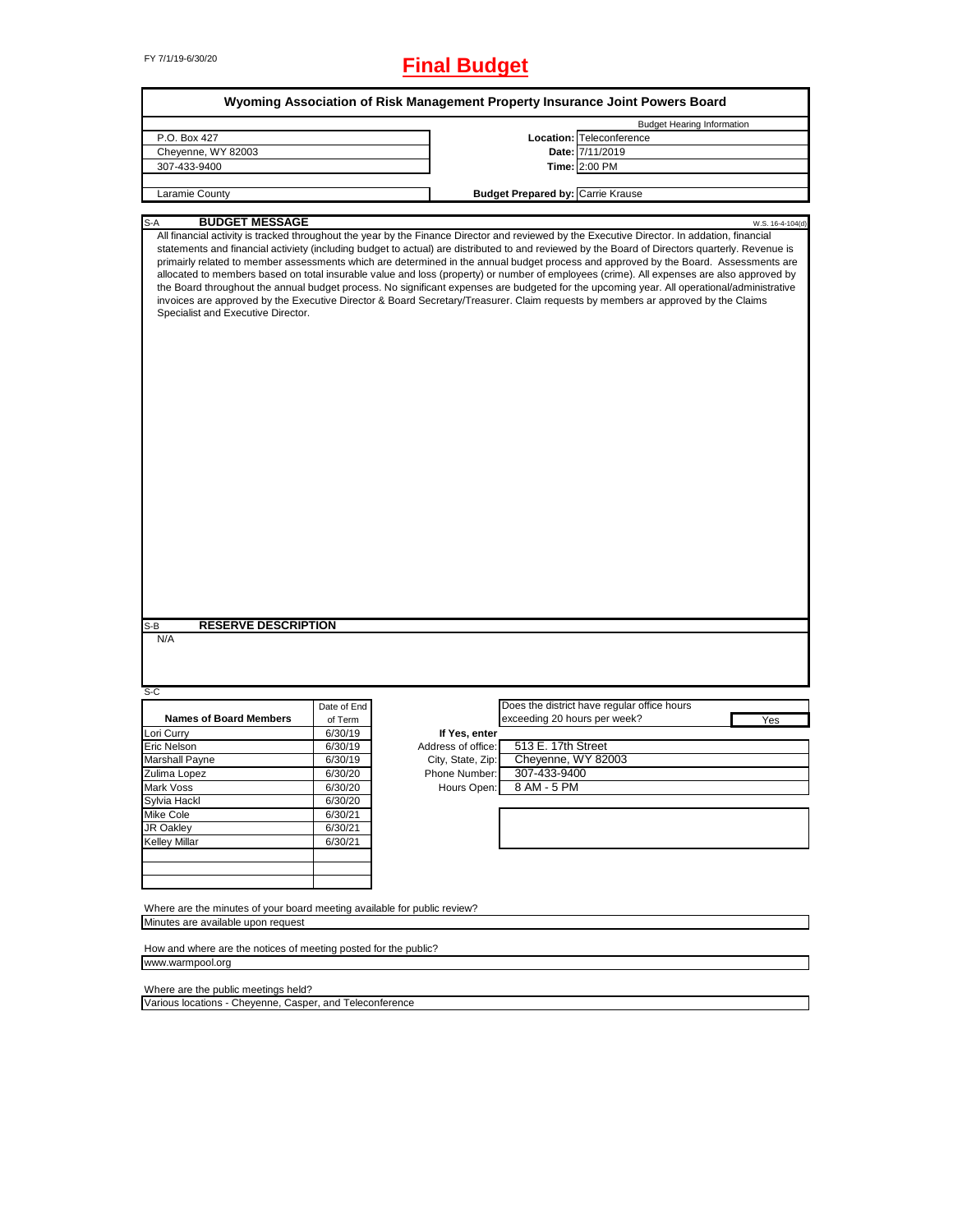# FY 7/1/19-6/30/20 **Final Budget**

| Wyoming Association of Risk Management Property Insurance Joint Powers Board                                   |                    |                                         |                                          |                                                                                                                                                                                                                                                                                                                                                                                                                                                                                                                                                                                                                                                                                                                                                                                                                                                                                            |
|----------------------------------------------------------------------------------------------------------------|--------------------|-----------------------------------------|------------------------------------------|--------------------------------------------------------------------------------------------------------------------------------------------------------------------------------------------------------------------------------------------------------------------------------------------------------------------------------------------------------------------------------------------------------------------------------------------------------------------------------------------------------------------------------------------------------------------------------------------------------------------------------------------------------------------------------------------------------------------------------------------------------------------------------------------------------------------------------------------------------------------------------------------|
|                                                                                                                |                    |                                         |                                          | <b>Budget Hearing Information</b>                                                                                                                                                                                                                                                                                                                                                                                                                                                                                                                                                                                                                                                                                                                                                                                                                                                          |
| P.O. Box 427                                                                                                   |                    |                                         |                                          | Location: Teleconference                                                                                                                                                                                                                                                                                                                                                                                                                                                                                                                                                                                                                                                                                                                                                                                                                                                                   |
| Cheyenne, WY 82003                                                                                             |                    |                                         |                                          | Date: 7/11/2019                                                                                                                                                                                                                                                                                                                                                                                                                                                                                                                                                                                                                                                                                                                                                                                                                                                                            |
| 307-433-9400                                                                                                   |                    |                                         |                                          | Time: 2:00 PM                                                                                                                                                                                                                                                                                                                                                                                                                                                                                                                                                                                                                                                                                                                                                                                                                                                                              |
| Laramie County                                                                                                 |                    |                                         | <b>Budget Prepared by: Carrie Krause</b> |                                                                                                                                                                                                                                                                                                                                                                                                                                                                                                                                                                                                                                                                                                                                                                                                                                                                                            |
|                                                                                                                |                    |                                         |                                          |                                                                                                                                                                                                                                                                                                                                                                                                                                                                                                                                                                                                                                                                                                                                                                                                                                                                                            |
| <b>BUDGET MESSAGE</b><br>S-A<br>Specialist and Executive Director.                                             |                    |                                         |                                          | W.S. 16-4-104(d)<br>All financial activity is tracked throughout the year by the Finance Director and reviewed by the Executive Director. In addation, financial<br>statements and financial activiety (including budget to actual) are distributed to and reviewed by the Board of Directors quarterly. Revenue is<br>primairly related to member assessments which are determined in the annual budget process and approved by the Board. Assessments are<br>allocated to members based on total insurable value and loss (property) or number of employees (crime). All expenses are also approved by<br>the Board throughout the annual budget process. No significant expenses are budgeted for the upcoming year. All operational/administrative<br>invoices are approved by the Executive Director & Board Secretary/Treasurer. Claim requests by members ar approved by the Claims |
| <b>RESERVE DESCRIPTION</b><br>S-B                                                                              |                    |                                         |                                          |                                                                                                                                                                                                                                                                                                                                                                                                                                                                                                                                                                                                                                                                                                                                                                                                                                                                                            |
| N/A<br>$S-C$                                                                                                   |                    |                                         |                                          |                                                                                                                                                                                                                                                                                                                                                                                                                                                                                                                                                                                                                                                                                                                                                                                                                                                                                            |
|                                                                                                                | Date of End        |                                         |                                          | Does the district have regular office hours                                                                                                                                                                                                                                                                                                                                                                                                                                                                                                                                                                                                                                                                                                                                                                                                                                                |
| <b>Names of Board Members</b>                                                                                  | of Term            |                                         | exceeding 20 hours per week?             | Yes                                                                                                                                                                                                                                                                                                                                                                                                                                                                                                                                                                                                                                                                                                                                                                                                                                                                                        |
| Lori Curry                                                                                                     | 6/30/19            | If Yes, enter                           | 513 E. 17th Street                       |                                                                                                                                                                                                                                                                                                                                                                                                                                                                                                                                                                                                                                                                                                                                                                                                                                                                                            |
| Eric Nelson<br>Marshall Payne                                                                                  | 6/30/19<br>6/30/19 | Address of office:<br>City, State, Zip: | Cheyenne, WY 82003                       |                                                                                                                                                                                                                                                                                                                                                                                                                                                                                                                                                                                                                                                                                                                                                                                                                                                                                            |
|                                                                                                                | 6/30/20            | Phone Number:                           | 307-433-9400                             |                                                                                                                                                                                                                                                                                                                                                                                                                                                                                                                                                                                                                                                                                                                                                                                                                                                                                            |
| Zulima Lopez                                                                                                   |                    |                                         | 8 AM - 5 PM                              |                                                                                                                                                                                                                                                                                                                                                                                                                                                                                                                                                                                                                                                                                                                                                                                                                                                                                            |
| Mark Voss                                                                                                      | 6/30/20<br>6/30/20 | Hours Open:                             |                                          |                                                                                                                                                                                                                                                                                                                                                                                                                                                                                                                                                                                                                                                                                                                                                                                                                                                                                            |
| Sylvia Hackl<br>Mike Cole                                                                                      | 6/30/21            |                                         |                                          |                                                                                                                                                                                                                                                                                                                                                                                                                                                                                                                                                                                                                                                                                                                                                                                                                                                                                            |
| <b>JR Oakley</b>                                                                                               | 6/30/21            |                                         |                                          |                                                                                                                                                                                                                                                                                                                                                                                                                                                                                                                                                                                                                                                                                                                                                                                                                                                                                            |
| <b>Kelley Millar</b>                                                                                           | 6/30/21            |                                         |                                          |                                                                                                                                                                                                                                                                                                                                                                                                                                                                                                                                                                                                                                                                                                                                                                                                                                                                                            |
|                                                                                                                |                    |                                         |                                          |                                                                                                                                                                                                                                                                                                                                                                                                                                                                                                                                                                                                                                                                                                                                                                                                                                                                                            |
|                                                                                                                |                    |                                         |                                          |                                                                                                                                                                                                                                                                                                                                                                                                                                                                                                                                                                                                                                                                                                                                                                                                                                                                                            |
| Where are the minutes of your board meeting available for public review?<br>Minutes are available upon request |                    |                                         |                                          |                                                                                                                                                                                                                                                                                                                                                                                                                                                                                                                                                                                                                                                                                                                                                                                                                                                                                            |
| How and where are the notices of meeting posted for the public?                                                |                    |                                         |                                          |                                                                                                                                                                                                                                                                                                                                                                                                                                                                                                                                                                                                                                                                                                                                                                                                                                                                                            |
| www.warmpool.org                                                                                               |                    |                                         |                                          |                                                                                                                                                                                                                                                                                                                                                                                                                                                                                                                                                                                                                                                                                                                                                                                                                                                                                            |
|                                                                                                                |                    |                                         |                                          |                                                                                                                                                                                                                                                                                                                                                                                                                                                                                                                                                                                                                                                                                                                                                                                                                                                                                            |

Where are the public meetings held?

Various locations - Cheyenne, Casper, and Teleconference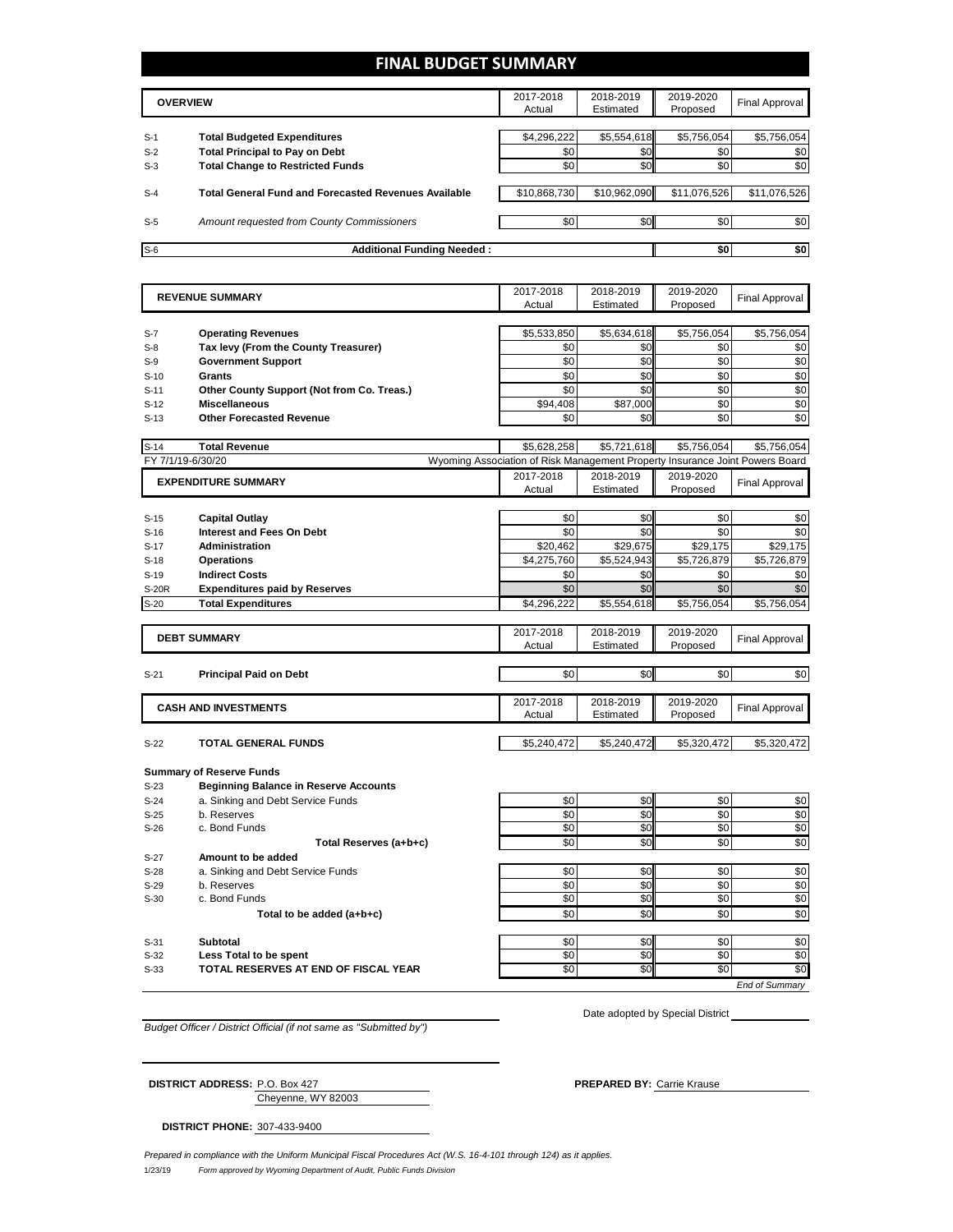### **FINAL BUDGET SUMMARY**

|                                   | Actual                                                                                                                                                                                                                              | Estimated                   | Proposed         | <b>Final Approval</b>                                                                 |
|-----------------------------------|-------------------------------------------------------------------------------------------------------------------------------------------------------------------------------------------------------------------------------------|-----------------------------|------------------|---------------------------------------------------------------------------------------|
|                                   |                                                                                                                                                                                                                                     |                             |                  |                                                                                       |
|                                   |                                                                                                                                                                                                                                     |                             |                  | \$5,756,054                                                                           |
|                                   | \$0                                                                                                                                                                                                                                 | \$0                         | \$0              | \$0                                                                                   |
|                                   | \$0                                                                                                                                                                                                                                 |                             | \$0              | \$0                                                                                   |
|                                   |                                                                                                                                                                                                                                     |                             |                  |                                                                                       |
|                                   |                                                                                                                                                                                                                                     |                             |                  | \$11,076,526                                                                          |
|                                   |                                                                                                                                                                                                                                     |                             |                  |                                                                                       |
|                                   | \$0                                                                                                                                                                                                                                 |                             | \$0 <sub>1</sub> | \$0                                                                                   |
|                                   |                                                                                                                                                                                                                                     |                             |                  |                                                                                       |
| <b>Additional Funding Needed:</b> |                                                                                                                                                                                                                                     |                             | \$0              | \$0                                                                                   |
|                                   | <b>Total Budgeted Expenditures</b><br><b>Total Principal to Pay on Debt</b><br><b>Total Change to Restricted Funds</b><br><b>Total General Fund and Forecasted Revenues Available</b><br>Amount requested from County Commissioners | \$4,296,222<br>\$10,868,730 |                  | \$5,554,618<br>\$5,756,054<br>\$0<br>\$10,962,090<br>\$11,076,526<br>\$0 <sub>1</sub> |

|        | <b>REVENUE SUMMARY</b>                                                          | 2017-2018<br>Actual                                                          | 2018-2019<br>Estimated | 2019-2020<br>Proposed | <b>Final Approval</b> |
|--------|---------------------------------------------------------------------------------|------------------------------------------------------------------------------|------------------------|-----------------------|-----------------------|
|        |                                                                                 |                                                                              |                        |                       |                       |
| $S-7$  | <b>Operating Revenues</b>                                                       | \$5,533,850                                                                  | \$5,634,618            | \$5,756,054           | \$5,756,054           |
| $S-8$  | Tax levy (From the County Treasurer)                                            | \$0                                                                          | \$0                    | \$0                   | \$0                   |
| $S-9$  | <b>Government Support</b>                                                       | \$0                                                                          | \$0                    | \$0                   | \$0                   |
| $S-10$ | <b>Grants</b>                                                                   | \$0                                                                          | \$0                    | \$0                   | \$0                   |
| $S-11$ | Other County Support (Not from Co. Treas.)                                      | \$0                                                                          | \$0                    | \$0                   | \$0                   |
| $S-12$ | <b>Miscellaneous</b>                                                            | \$94,408                                                                     | \$87,000               | \$0                   | \$0                   |
| $S-13$ | <b>Other Forecasted Revenue</b>                                                 | \$0                                                                          | \$0                    | \$0                   | \$0                   |
|        |                                                                                 |                                                                              |                        |                       |                       |
| $S-14$ | <b>Total Revenue</b>                                                            | \$5,628,258                                                                  | \$5,721,618            | \$5,756,054           | \$5,756,054           |
|        | FY 7/1/19-6/30/20                                                               | Wyoming Association of Risk Management Property Insurance Joint Powers Board |                        |                       |                       |
|        | <b>EXPENDITURE SUMMARY</b>                                                      | 2017-2018                                                                    | 2018-2019              | 2019-2020             | <b>Final Approval</b> |
|        |                                                                                 | Actual                                                                       | Estimated              | Proposed              |                       |
| $S-15$ | <b>Capital Outlay</b>                                                           | \$0                                                                          | \$0                    | \$0                   | \$0                   |
| $S-16$ | <b>Interest and Fees On Debt</b>                                                | \$0                                                                          | \$0                    | \$0                   | \$0                   |
| $S-17$ | <b>Administration</b>                                                           | \$20,462                                                                     | \$29,675               | \$29,175              | \$29,175              |
| $S-18$ | <b>Operations</b>                                                               | \$4,275,760                                                                  | \$5,524,943            | \$5,726,879           | \$5,726,879           |
| $S-19$ | <b>Indirect Costs</b>                                                           | \$0                                                                          | \$0                    | \$0                   | \$0                   |
| S-20R  | <b>Expenditures paid by Reserves</b>                                            | \$0                                                                          | \$0                    | \$0                   | \$0                   |
| $S-20$ | <b>Total Expenditures</b>                                                       | \$4,296,222                                                                  | \$5,554,618            | \$5,756,054           | \$5,756,054           |
|        |                                                                                 |                                                                              |                        |                       |                       |
|        | <b>DEBT SUMMARY</b>                                                             | 2017-2018                                                                    | 2018-2019              | 2019-2020             | <b>Final Approval</b> |
|        |                                                                                 | Actual                                                                       | Estimated              | Proposed              |                       |
|        |                                                                                 |                                                                              |                        |                       |                       |
| $S-21$ | <b>Principal Paid on Debt</b>                                                   | \$0                                                                          | \$0                    | \$0                   | \$0                   |
|        |                                                                                 | 2017-2018                                                                    | 2018-2019              | 2019-2020             |                       |
|        | <b>CASH AND INVESTMENTS</b>                                                     | Actual                                                                       | Estimated              | Proposed              | <b>Final Approval</b> |
|        |                                                                                 |                                                                              |                        |                       |                       |
| $S-22$ | <b>TOTAL GENERAL FUNDS</b>                                                      | \$5.240.472                                                                  | \$5.240.472            | \$5.320.472           | \$5,320,472           |
|        |                                                                                 |                                                                              |                        |                       |                       |
| $S-23$ | <b>Summary of Reserve Funds</b><br><b>Beginning Balance in Reserve Accounts</b> |                                                                              |                        |                       |                       |
| $S-24$ | a. Sinking and Debt Service Funds                                               | \$0                                                                          | \$0                    | \$0                   | \$0                   |
| $S-25$ | b. Reserves                                                                     | \$0                                                                          | \$0                    | \$0                   | \$0                   |
| $S-26$ | c. Bond Funds                                                                   | \$0                                                                          | \$0                    | \$0                   | \$0                   |
|        | Total Reserves (a+b+c)                                                          | \$0                                                                          | \$0                    | \$0                   | \$0                   |
| $S-27$ | Amount to be added                                                              |                                                                              |                        |                       |                       |
| $S-28$ | a. Sinking and Debt Service Funds                                               | \$0                                                                          | \$0                    | \$0                   | \$0                   |
| $S-29$ | b. Reserves                                                                     | \$0                                                                          | \$0                    | \$0                   | \$0                   |
| $S-30$ | c. Bond Funds                                                                   | \$0                                                                          | \$0                    | \$0                   | \$0                   |
|        | Total to be added (a+b+c)                                                       | \$0                                                                          | \$0                    | \$0                   | \$0                   |
|        |                                                                                 |                                                                              |                        |                       |                       |
| $S-31$ | <b>Subtotal</b>                                                                 | \$0                                                                          | \$0                    | \$0                   | \$0                   |
| $S-32$ | Less Total to be spent                                                          | \$0                                                                          | \$0                    | \$0                   | \$0                   |
| $S-33$ | TOTAL RESERVES AT END OF FISCAL YEAR                                            | \$0                                                                          | \$0                    | $\overline{50}$       | \$0                   |
|        |                                                                                 |                                                                              |                        |                       | <b>End of Summarv</b> |

*Budget Officer / District Official (if not same as "Submitted by")*

Date adopted by Special District

Cheyenne, WY 82003 **DISTRICT ADDRESS:** P.O. Box 427 **PREPARED BY:** Carrie Krause

**DISTRICT PHONE:** 307-433-9400

1/23/19 *Form approved by Wyoming Department of Audit, Public Funds Division Prepared in compliance with the Uniform Municipal Fiscal Procedures Act (W.S. 16-4-101 through 124) as it applies.*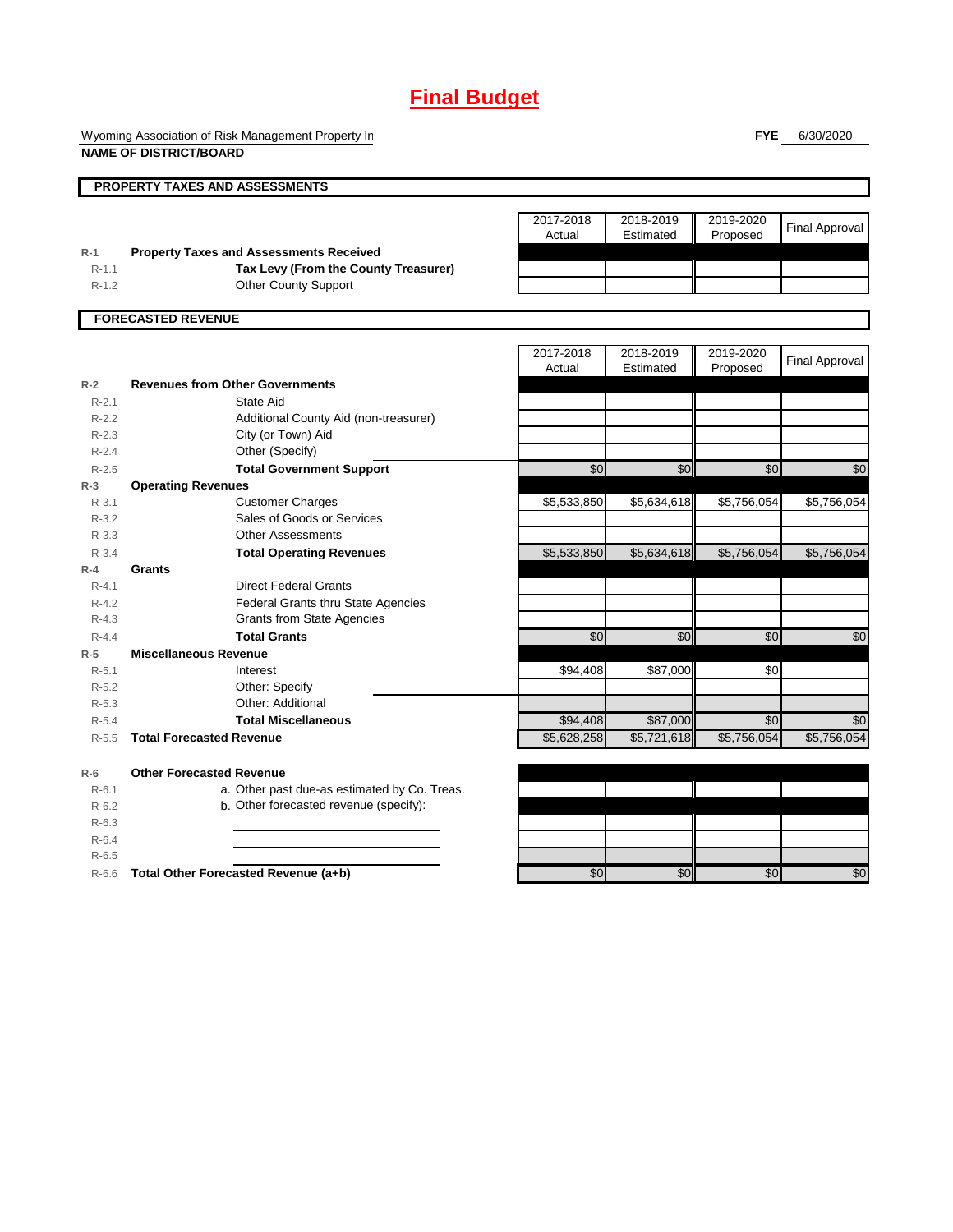Wyoming Association of Risk Management Property In **NAME OF DISTRICT/BOARD**

**FYE** 6/30/2020

|           | PROPERTY TAXES AND ASSESSMENTS                 |             |                 |             |                       |
|-----------|------------------------------------------------|-------------|-----------------|-------------|-----------------------|
|           |                                                |             |                 |             |                       |
|           |                                                | 2017-2018   | 2018-2019       | 2019-2020   | <b>Final Approval</b> |
|           |                                                | Actual      | Estimated       | Proposed    |                       |
| $R-1$     | <b>Property Taxes and Assessments Received</b> |             |                 |             |                       |
| $R-1.1$   | Tax Levy (From the County Treasurer)           |             |                 |             |                       |
| $R-1.2$   | <b>Other County Support</b>                    |             |                 |             |                       |
|           | <b>FORECASTED REVENUE</b>                      |             |                 |             |                       |
|           |                                                |             |                 |             |                       |
|           |                                                | 2017-2018   | 2018-2019       | 2019-2020   | <b>Final Approval</b> |
|           |                                                | Actual      | Estimated       | Proposed    |                       |
| $R-2$     | <b>Revenues from Other Governments</b>         |             |                 |             |                       |
| $R - 2.1$ | State Aid                                      |             |                 |             |                       |
| $R-2.2$   | Additional County Aid (non-treasurer)          |             |                 |             |                       |
| $R-2.3$   | City (or Town) Aid                             |             |                 |             |                       |
| $R - 2.4$ | Other (Specify)                                |             |                 |             |                       |
| $R - 2.5$ | <b>Total Government Support</b>                | \$0         | \$0             | \$0         | \$0                   |
| $R-3$     | <b>Operating Revenues</b>                      |             |                 |             |                       |
| $R - 3.1$ | <b>Customer Charges</b>                        | \$5,533,850 | \$5,634,618     | \$5,756,054 | \$5,756,054           |
| $R - 3.2$ | Sales of Goods or Services                     |             |                 |             |                       |
| $R - 3.3$ | <b>Other Assessments</b>                       |             |                 |             |                       |
| $R - 3.4$ | <b>Total Operating Revenues</b>                | \$5,533,850 | \$5,634,618     | \$5,756,054 | \$5,756,054           |
| $R-4$     | Grants                                         |             |                 |             |                       |
| $R - 4.1$ | <b>Direct Federal Grants</b>                   |             |                 |             |                       |
| $R - 4.2$ | <b>Federal Grants thru State Agencies</b>      |             |                 |             |                       |
| $R - 4.3$ | <b>Grants from State Agencies</b>              |             |                 |             |                       |
| $R - 4.4$ | <b>Total Grants</b>                            | \$0         | $\overline{50}$ | \$0         | \$0                   |
| $R-5$     | <b>Miscellaneous Revenue</b>                   |             |                 |             |                       |
| $R - 5.1$ | Interest                                       | \$94,408    | \$87,000        | \$0         |                       |
| $R-5.2$   | Other: Specify                                 |             |                 |             |                       |
| $R - 5.3$ | Other: Additional                              |             |                 |             |                       |
| $R - 5.4$ | <b>Total Miscellaneous</b>                     | \$94,408    | \$87,000        | \$0         | \$0                   |
| $R-5.5$   | <b>Total Forecasted Revenue</b>                | \$5,628,258 | \$5,721,618     | \$5,756,054 | \$5,756,054           |
| $R-6$     | <b>Other Forecasted Revenue</b>                |             |                 |             |                       |
| $R - 6.1$ | a. Other past due-as estimated by Co. Treas.   |             |                 |             |                       |
| $R-6.2$   | b. Other forecasted revenue (specify):         |             |                 |             |                       |
| $R-6.3$   |                                                |             |                 |             |                       |
| $R-6.4$   |                                                |             |                 |             |                       |
| $R - 6.5$ |                                                |             |                 |             |                       |
| $R-6.6$   | Total Other Forecasted Revenue (a+b)           | \$0         | \$0             | \$0         | \$0                   |
|           |                                                |             |                 |             |                       |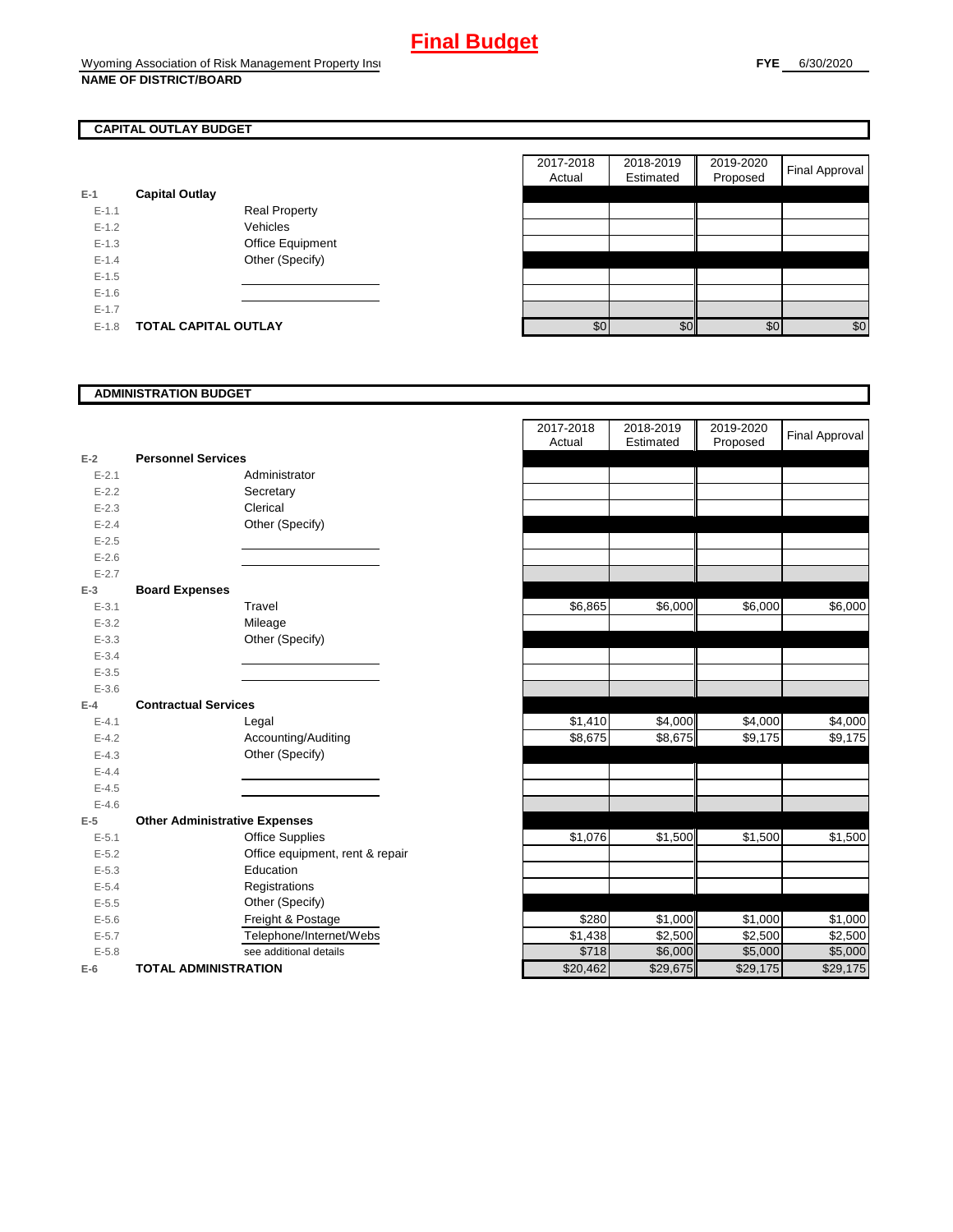## **CAPITAL OUTLAY BUDGET**

| E-1       | <b>Capital Outlay</b> |                         |
|-----------|-----------------------|-------------------------|
|           |                       |                         |
| $F-11$    |                       | <b>Real Property</b>    |
| $F-12$    |                       | Vehicles                |
| $F-1.3$   |                       | <b>Office Equipment</b> |
| $F-14$    |                       | Other (Specify)         |
| $F-1.5$   |                       |                         |
| $F-16$    |                       |                         |
| $F-17$    |                       |                         |
| $E - 1.8$ | TOTAL CAPITAL OUTLAY  |                         |

|         |                             |                      | 2017-2018<br>Actual | 2018-2019<br>Estimated | 2019-2020<br>Proposed | Final Approval |
|---------|-----------------------------|----------------------|---------------------|------------------------|-----------------------|----------------|
|         | <b>Capital Outlay</b>       |                      |                     |                        |                       |                |
| $E-1.1$ |                             | <b>Real Property</b> |                     |                        |                       |                |
| $E-1.2$ |                             | Vehicles             |                     |                        |                       |                |
| $E-1.3$ |                             | Office Equipment     |                     |                        |                       |                |
| $E-1.4$ |                             | Other (Specify)      |                     |                        |                       |                |
| $E-1.5$ |                             |                      |                     |                        |                       |                |
| $E-1.6$ |                             |                      |                     |                        |                       |                |
| $E-1.7$ |                             |                      |                     |                        |                       |                |
| $E-1.8$ | <b>TOTAL CAPITAL OUTLAY</b> |                      | \$0                 | \$0                    | \$0                   | \$0            |

#### **ADMINISTRATION BUDGET**

| $E-2$     | <b>Personnel Services</b>            |                                 |
|-----------|--------------------------------------|---------------------------------|
| $E - 2.1$ |                                      | Administrator                   |
| $E - 2.2$ |                                      | Secretary                       |
| $E - 2.3$ |                                      | Clerical                        |
| $E - 2.4$ |                                      | Other (Specify)                 |
| $E - 2.5$ |                                      |                                 |
| $E - 2.6$ |                                      |                                 |
| $E - 2.7$ |                                      |                                 |
| $E-3$     | <b>Board Expenses</b>                |                                 |
| $E - 3.1$ |                                      | Travel                          |
| $E - 3.2$ |                                      | Mileage                         |
| $E - 3.3$ |                                      | Other (Specify)                 |
| $E - 3.4$ |                                      |                                 |
| $E - 3.5$ |                                      |                                 |
| $E - 3.6$ |                                      |                                 |
| $E-4$     | <b>Contractual Services</b>          |                                 |
| $E - 4.1$ |                                      | Legal                           |
| $E-4.2$   |                                      | Accounting/Auditing             |
| $E - 4.3$ |                                      | Other (Specify)                 |
| $E - 4.4$ |                                      |                                 |
| $E-4.5$   |                                      |                                 |
| $E - 4.6$ |                                      |                                 |
| $E-5$     | <b>Other Administrative Expenses</b> |                                 |
| $E - 5.1$ |                                      | <b>Office Supplies</b>          |
| $E - 5.2$ |                                      | Office equipment, rent & repair |
| $E - 5.3$ |                                      | Education                       |
| $E - 5.4$ |                                      | Registrations                   |
| $E - 5.5$ |                                      | Other (Specify)                 |
| $E - 5.6$ |                                      | Freight & Postage               |
| $E - 5.7$ |                                      | Telephone/Internet/Webs         |
| $E - 5.8$ |                                      | see additional details          |
| $E-6$     | <b>TOTAL ADMINISTRATION</b>          |                                 |

|           |                                      | 2017-2018<br>Actual | 2018-2019<br>Estimated | 2019-2020<br>Proposed | <b>Final Approval</b> |
|-----------|--------------------------------------|---------------------|------------------------|-----------------------|-----------------------|
| $E-2$     | <b>Personnel Services</b>            |                     |                        |                       |                       |
| $E - 2.1$ | Administrator                        |                     |                        |                       |                       |
| $E - 2.2$ | Secretary                            |                     |                        |                       |                       |
| $E - 2.3$ | Clerical                             |                     |                        |                       |                       |
| $E - 2.4$ | Other (Specify)                      |                     |                        |                       |                       |
| $E - 2.5$ |                                      |                     |                        |                       |                       |
| $E-2.6$   |                                      |                     |                        |                       |                       |
| $E - 2.7$ |                                      |                     |                        |                       |                       |
| $E-3$     | <b>Board Expenses</b>                |                     |                        |                       |                       |
| $E - 3.1$ | Travel                               | \$6,865             | \$6,000                | \$6,000               | \$6,000               |
| $E - 3.2$ | Mileage                              |                     |                        |                       |                       |
| $E - 3.3$ | Other (Specify)                      |                     |                        |                       |                       |
| $E - 3.4$ |                                      |                     |                        |                       |                       |
| $E - 3.5$ |                                      |                     |                        |                       |                       |
| $E - 3.6$ |                                      |                     |                        |                       |                       |
| $E-4$     | <b>Contractual Services</b>          |                     |                        |                       |                       |
| $E-4.1$   | Legal                                | \$1,410             | \$4,000                | \$4,000               | \$4,000               |
| $E - 4.2$ | Accounting/Auditing                  | \$8,675             | \$8,675                | \$9,175               | \$9,175               |
| $E - 4.3$ | Other (Specify)                      |                     |                        |                       |                       |
| $E-4.4$   |                                      |                     |                        |                       |                       |
| $E-4.5$   |                                      |                     |                        |                       |                       |
| $E-4.6$   |                                      |                     |                        |                       |                       |
| $E-5$     | <b>Other Administrative Expenses</b> |                     |                        |                       |                       |
| $E - 5.1$ | <b>Office Supplies</b>               | \$1,076             | \$1,500                | \$1,500               | \$1,500               |
| $E - 5.2$ | Office equipment, rent & repair      |                     |                        |                       |                       |
| $E - 5.3$ | Education                            |                     |                        |                       |                       |
| $E - 5.4$ | Registrations                        |                     |                        |                       |                       |
| $E - 5.5$ | Other (Specify)                      |                     |                        |                       |                       |
| $E-5.6$   | Freight & Postage                    | \$280               | \$1,000                | \$1,000               | \$1,000               |
| $E - 5.7$ | Telephone/Internet/Webs              | \$1,438             | \$2,500                | \$2,500               | \$2,500               |
| $E - 5.8$ | see additional details               | \$718               | \$6,000                | \$5,000               | \$5,000               |
| $E-6$     | <b>TOTAL ADMINISTRATION</b>          | \$20,462            | \$29,675               | \$29,175              | \$29,175              |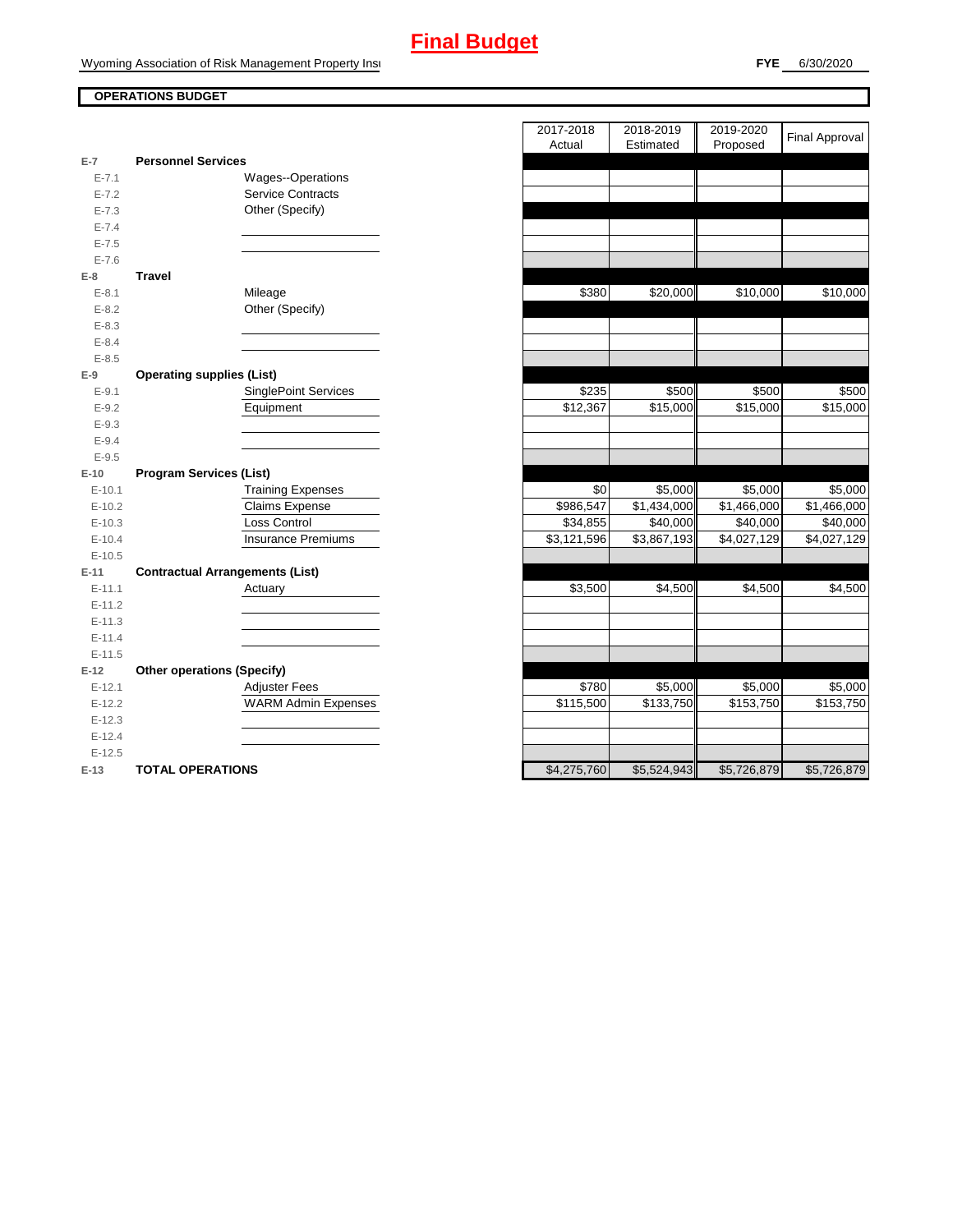### **OPERATIONS BUDGET**

| E-7        | <b>Personnel Services</b>              |                             |
|------------|----------------------------------------|-----------------------------|
| $E - 7.1$  |                                        | <b>Wages--Operations</b>    |
| $E - 7.2$  |                                        | <b>Service Contracts</b>    |
| $E - 7.3$  |                                        | Other (Specify)             |
| $E - 7.4$  |                                        |                             |
| $E - 7.5$  |                                        |                             |
| $E - 7.6$  |                                        |                             |
| E-8        | Travel                                 |                             |
| $E-8.1$    |                                        | Mileage                     |
| $E-8.2$    |                                        | Other (Specify)             |
| $E - 8.3$  |                                        |                             |
| $E - 8.4$  |                                        |                             |
| $E - 8.5$  |                                        |                             |
| $E-9$      | <b>Operating supplies (List)</b>       |                             |
| $E-9.1$    |                                        | <b>SinglePoint Services</b> |
| $E-9.2$    |                                        | Equipment                   |
| $E-9.3$    |                                        |                             |
| $E-9.4$    |                                        |                             |
| $E-9.5$    |                                        |                             |
| $E-10$     | <b>Program Services (List)</b>         |                             |
| $E-10.1$   |                                        | <b>Training Expenses</b>    |
| $E-10.2$   |                                        | <b>Claims Expense</b>       |
| $E-10.3$   |                                        | <b>Loss Control</b>         |
| $E-10.4$   |                                        | <b>Insurance Premiums</b>   |
| $E-10.5$   |                                        |                             |
| $E-11$     | <b>Contractual Arrangements (List)</b> |                             |
| $E - 11.1$ |                                        | Actuary                     |
| $E-11.2$   |                                        |                             |
| $E-11.3$   |                                        |                             |
| $E - 11.4$ |                                        |                             |
| $E-11.5$   |                                        |                             |
| $E-12$     | <b>Other operations (Specify)</b>      |                             |
| $E-12.1$   |                                        | <b>Adjuster Fees</b>        |
| $E-12.2$   |                                        | <b>WARM Admin Expenses</b>  |
| $E-12.3$   |                                        |                             |
| $E-12.4$   |                                        |                             |
| $E-12.5$   |                                        |                             |
| □ 4つ       | TATAL ADEDATIANS                       |                             |

|            |                                        | 2017-2018   | 2018-2019   | 2019-2020   |                       |
|------------|----------------------------------------|-------------|-------------|-------------|-----------------------|
|            |                                        | Actual      | Estimated   | Proposed    | <b>Final Approval</b> |
| $E-7$      | <b>Personnel Services</b>              |             |             |             |                       |
| $E - 7.1$  | Wages--Operations                      |             |             |             |                       |
| $E - 7.2$  | <b>Service Contracts</b>               |             |             |             |                       |
| $E - 7.3$  | Other (Specify)                        |             |             |             |                       |
| $E - 7.4$  |                                        |             |             |             |                       |
| $E - 7.5$  |                                        |             |             |             |                       |
| $E - 7.6$  |                                        |             |             |             |                       |
| $E-8$      | <b>Travel</b>                          |             |             |             |                       |
| $E-8.1$    | Mileage                                | \$380       | \$20,000    | \$10,000    | \$10,000              |
| $E - 8.2$  | Other (Specify)                        |             |             |             |                       |
| $E - 8.3$  |                                        |             |             |             |                       |
| $E - 8.4$  |                                        |             |             |             |                       |
| $E - 8.5$  |                                        |             |             |             |                       |
| $E-9$      | <b>Operating supplies (List)</b>       |             |             |             |                       |
| $E-9.1$    | <b>SinglePoint Services</b>            | \$235       | \$500       | \$500       | \$500                 |
| $E - 9.2$  | Equipment                              | \$12,367    | \$15,000    | \$15,000    | \$15,000              |
| $E-9.3$    |                                        |             |             |             |                       |
| $E-9.4$    |                                        |             |             |             |                       |
| $E - 9.5$  |                                        |             |             |             |                       |
| $E-10$     | <b>Program Services (List)</b>         |             |             |             |                       |
| $E - 10.1$ | <b>Training Expenses</b>               | \$0         | \$5,000     | \$5,000     | \$5,000               |
| $E-10.2$   | Claims Expense                         | \$986,547   | \$1,434,000 | \$1,466,000 | \$1,466,000           |
| $E-10.3$   | Loss Control                           | \$34,855    | \$40,000    | \$40,000    | \$40,000              |
| $E - 10.4$ | <b>Insurance Premiums</b>              | \$3,121,596 | \$3,867,193 | \$4,027,129 | \$4,027,129           |
| $E-10.5$   |                                        |             |             |             |                       |
| $E-11$     | <b>Contractual Arrangements (List)</b> |             |             |             |                       |
| $E - 11.1$ | Actuary                                | \$3,500     | \$4,500     | \$4,500     | \$4,500               |
| $E-11.2$   |                                        |             |             |             |                       |
| $E - 11.3$ |                                        |             |             |             |                       |
| $E - 11.4$ |                                        |             |             |             |                       |
| $E-11.5$   |                                        |             |             |             |                       |
| $E-12$     | <b>Other operations (Specify)</b>      |             |             |             |                       |
| $E-12.1$   | <b>Adjuster Fees</b>                   | \$780       | \$5,000     | \$5,000     | \$5,000               |
| $E-12.2$   | <b>WARM Admin Expenses</b>             | \$115,500   | \$133,750   | \$153,750   | \$153,750             |
| $E-12.3$   |                                        |             |             |             |                       |
| $E-12.4$   |                                        |             |             |             |                       |
| $E-12.5$   |                                        |             |             |             |                       |
| $E-13$     | <b>TOTAL OPERATIONS</b>                | \$4,275,760 | \$5,524,943 | \$5,726,879 | \$5,726,879           |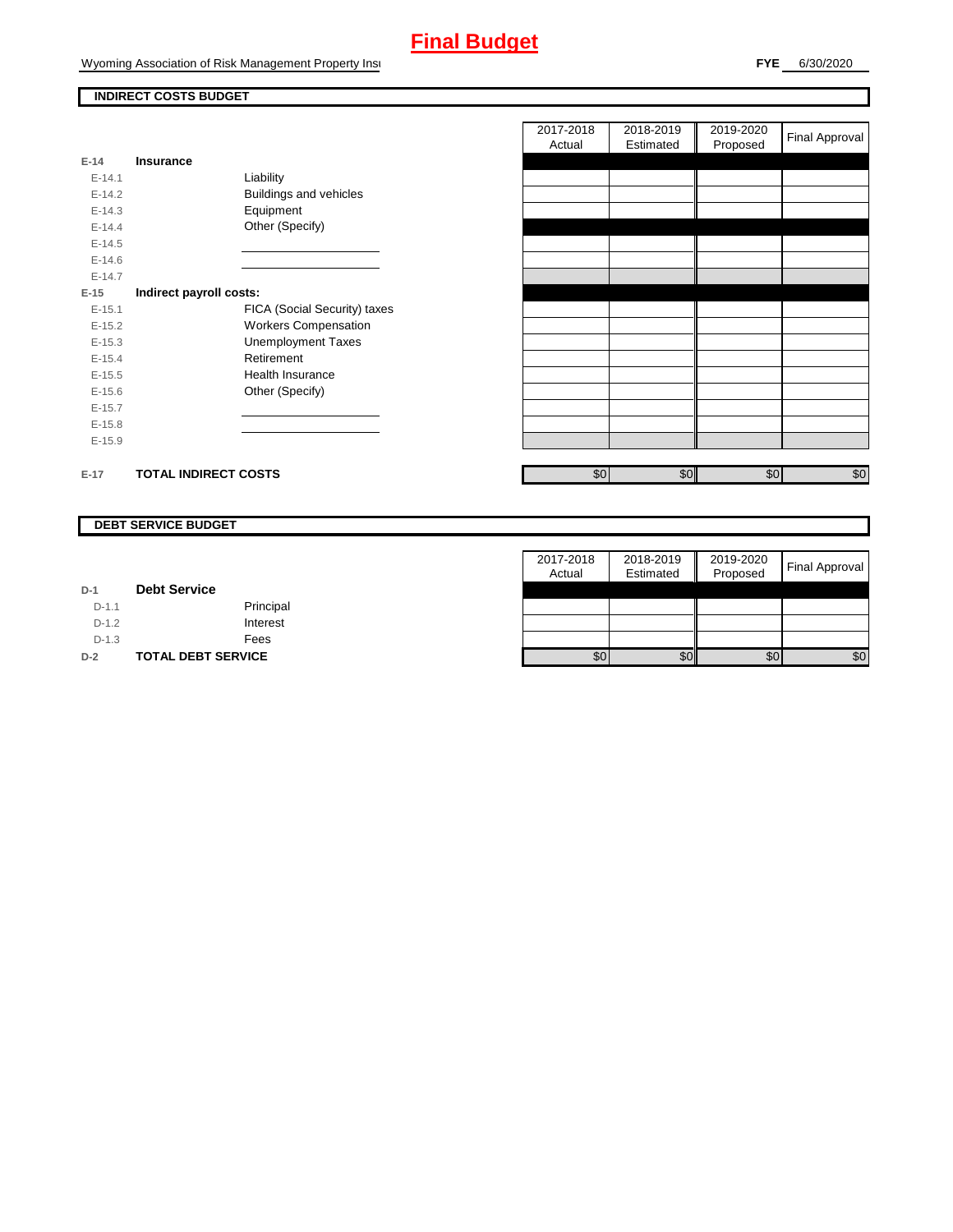Wyoming Association of Risk Management Property Insurance

### **INDIRECT COSTS BUDGET**

| $E-14$     | Insurance                   |                               |
|------------|-----------------------------|-------------------------------|
| $F-141$    | Liability                   |                               |
| $F-142$    |                             | <b>Buildings and vehicles</b> |
| $E - 14.3$ | Equipment                   |                               |
| $F-144$    | Other (Specify)             |                               |
| $E-14.5$   |                             |                               |
| $E - 14.6$ |                             |                               |
| $E-14.7$   |                             |                               |
| E-15       | Indirect payroll costs:     |                               |
| $E - 15.1$ |                             | FICA (Social Security) taxes  |
| $E-15.2$   |                             | <b>Workers Compensation</b>   |
| $E - 15.3$ |                             | <b>Unemployment Taxes</b>     |
| $E-15.4$   | Retirement                  |                               |
| $E-15.5$   | Health Insurance            |                               |
| $E - 15.6$ | Other (Specify)             |                               |
| $E-15.7$   |                             |                               |
| $E-15.8$   |                             |                               |
| $E-15.9$   |                             |                               |
|            |                             |                               |
| $E-17$     | <b>TOTAL INDIRECT COSTS</b> |                               |

| 2017-2018<br>Actual | 2018-2019<br>Estimated | 2019-2020<br>Proposed | <b>Final Approval</b> |
|---------------------|------------------------|-----------------------|-----------------------|
|                     |                        |                       |                       |
|                     |                        |                       |                       |
|                     |                        |                       |                       |
|                     |                        |                       |                       |
|                     |                        |                       |                       |
|                     |                        |                       |                       |
|                     |                        |                       |                       |
|                     |                        |                       |                       |
|                     |                        |                       |                       |
|                     |                        |                       |                       |
|                     |                        |                       |                       |
|                     |                        |                       |                       |
|                     |                        |                       |                       |
|                     |                        |                       |                       |
|                     |                        |                       |                       |
|                     |                        |                       |                       |
|                     |                        |                       |                       |
|                     |                        |                       |                       |
| \$0                 | \$0                    | \$0                   | \$0                   |

#### **DEBT SERVICE BUDGET**

|         |                           | 2017-2018 | 2018-2019 | 2019-2020 |                |
|---------|---------------------------|-----------|-----------|-----------|----------------|
|         |                           | Actual    | Estimated | Proposed  | Final Approval |
| $D-1$   | <b>Debt Service</b>       |           |           |           |                |
| $D-1.1$ | Principal                 |           |           |           |                |
| $D-1.2$ | Interest                  |           |           |           |                |
| $D-1.3$ | Fees                      |           |           |           |                |
| $D-2$   | <b>TOTAL DEBT SERVICE</b> | \$0       | \$0       | \$0       | \$0            |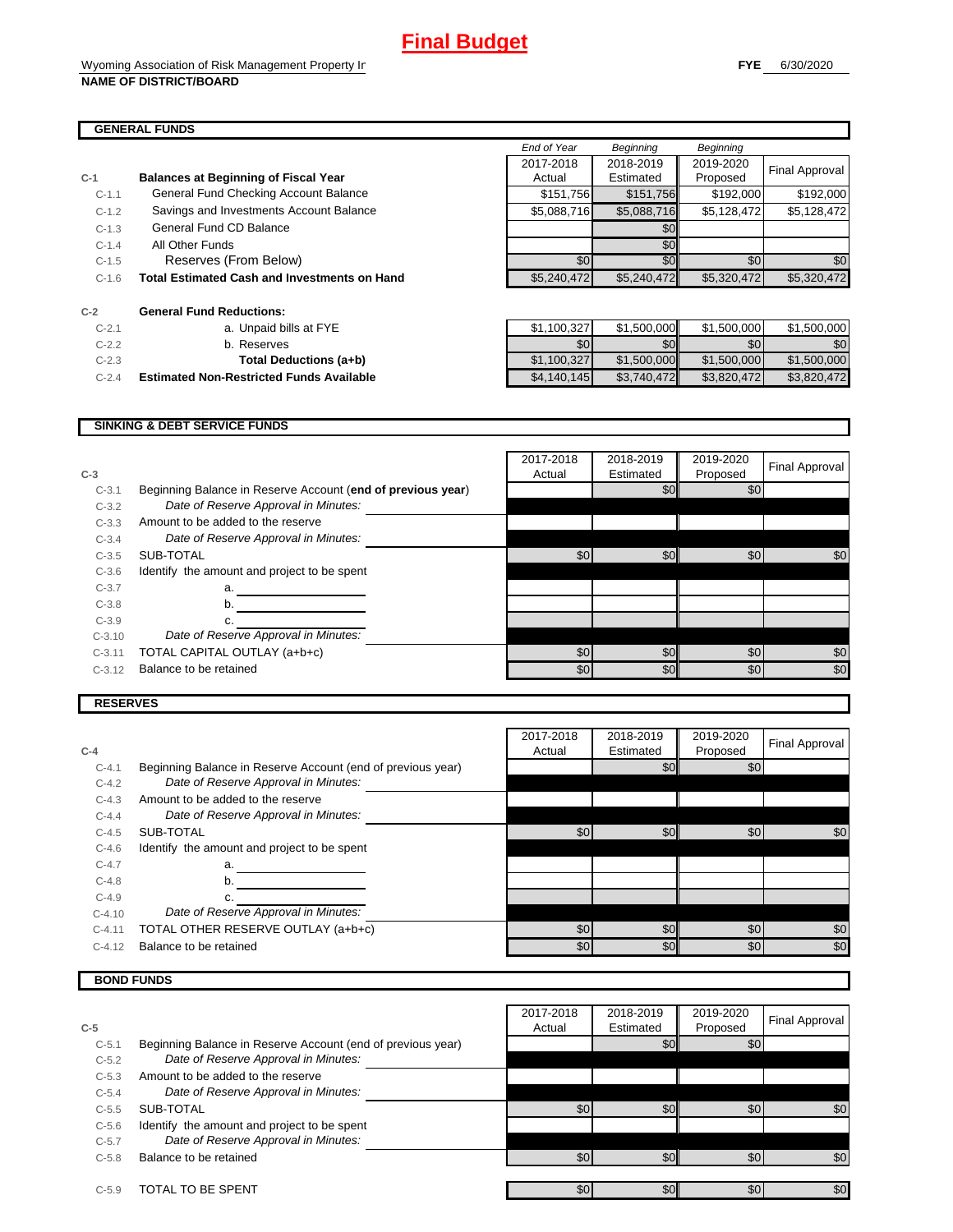٦

#### **GENERAL FUNDS**

| $C-1$   | <b>Balances at Beginning of Fiscal Year</b>         | Actual      | Estimated   |
|---------|-----------------------------------------------------|-------------|-------------|
| $C-1.1$ | General Fund Checking Account Balance               | \$151,756   | \$151,756   |
| $C-1.2$ | Savings and Investments Account Balance             | \$5,088,716 | \$5,088,716 |
| $C-1.3$ | General Fund CD Balance                             |             | \$0         |
| $C-1.4$ | All Other Funds                                     |             | \$0         |
| $C-1.5$ | Reserves (From Below)                               | \$0         | \$0         |
| $C-1.6$ | <b>Total Estimated Cash and Investments on Hand</b> | \$5,240,472 | \$5,240,472 |
| $C-2$   | <b>General Fund Reductions:</b>                     |             |             |
| $C-2.1$ | a. Unpaid bills at FYE                              | \$1,100,327 | \$1,500,000 |
| $C-2.2$ | b. Reserves                                         | \$0         | \$0         |
| $C-2.3$ | Total Deductions (a+b)                              | \$1,100,327 | \$1,500,000 |

|         | JENERAL FUNDƏ                                       |             |                  |             |                  |
|---------|-----------------------------------------------------|-------------|------------------|-------------|------------------|
|         |                                                     | End of Year | <b>Beginning</b> | Beginning   |                  |
|         |                                                     | 2017-2018   | 2018-2019        | 2019-2020   | Final Approval   |
|         | <b>Balances at Beginning of Fiscal Year</b>         | Actual      | Estimated        | Proposed    |                  |
| $C-1.1$ | General Fund Checking Account Balance               | \$151,756   | \$151,756        | \$192,000   | \$192,000        |
| $C-1.2$ | Savings and Investments Account Balance             | \$5,088,716 | \$5,088,716      | \$5.128.472 | \$5.128.472      |
| $C-1.3$ | General Fund CD Balance                             |             | \$0              |             |                  |
| $C-1.4$ | All Other Funds                                     |             | \$0              |             |                  |
| $C-1.5$ | Reserves (From Below)                               | \$0         | \$0              | \$0         | \$0 <sub>1</sub> |
| $C-1.6$ | <b>Total Estimated Cash and Investments on Hand</b> | \$5,240,472 | \$5,240,472      | \$5,320,472 | \$5,320,472      |

| $C-2.1$ | a. Unpaid bills at FYE                          | \$1,100,327 | \$1.500.000 | \$1.500.000 | \$1,500,000 |
|---------|-------------------------------------------------|-------------|-------------|-------------|-------------|
| $C-2.2$ | b. Reserves                                     | \$0         | \$0         | \$0         | \$0         |
| $C-2.3$ | Total Deductions (a+b)                          | \$1,100,327 | \$1.500,000 | \$1,500,000 | \$1,500,000 |
| $C-2.4$ | <b>Estimated Non-Restricted Funds Available</b> | \$4,140,145 | \$3,740,472 | \$3.820.472 | \$3,820,472 |

#### **SINKING & DEBT SERVICE FUNDS**

| $C-3$    |                                                             | 2017-2018<br>Actual | 2018-2019<br>Estimated | 2019-2020<br>Proposed | Final Approval |
|----------|-------------------------------------------------------------|---------------------|------------------------|-----------------------|----------------|
| $C-3.1$  | Beginning Balance in Reserve Account (end of previous year) |                     | \$0                    | \$0                   |                |
| $C-3.2$  | Date of Reserve Approval in Minutes:                        |                     |                        |                       |                |
| $C-3.3$  | Amount to be added to the reserve                           |                     |                        |                       |                |
| $C-3.4$  | Date of Reserve Approval in Minutes:                        |                     |                        |                       |                |
| $C-3.5$  | SUB-TOTAL                                                   | \$0                 | \$0                    | \$0                   | \$0            |
| $C-3.6$  | Identify the amount and project to be spent                 |                     |                        |                       |                |
| $C-3.7$  | a.                                                          |                     |                        |                       |                |
| $C-3.8$  | b.                                                          |                     |                        |                       |                |
| $C-3.9$  | c.                                                          |                     |                        |                       |                |
| $C-3.10$ | Date of Reserve Approval in Minutes:                        |                     |                        |                       |                |
| $C-3.11$ | TOTAL CAPITAL OUTLAY (a+b+c)                                | \$0                 | \$0                    | \$0                   | \$0            |
| $C-3.12$ | Balance to be retained                                      | \$0                 | \$0                    | \$0                   | \$0            |
|          |                                                             |                     |                        |                       |                |

 $\blacksquare$ 

#### **RESERVES**

| $C-4$    |                                                             | 2017-2018<br>Actual | 2018-2019<br>Estimated | 2019-2020<br>Proposed | Final Approval |
|----------|-------------------------------------------------------------|---------------------|------------------------|-----------------------|----------------|
| $C-4.1$  | Beginning Balance in Reserve Account (end of previous year) |                     | \$0                    | \$0                   |                |
| $C-4.2$  | Date of Reserve Approval in Minutes:                        |                     |                        |                       |                |
| $C-4.3$  | Amount to be added to the reserve                           |                     |                        |                       |                |
| $C-4.4$  | Date of Reserve Approval in Minutes:                        |                     |                        |                       |                |
| $C-4.5$  | SUB-TOTAL                                                   | \$0                 | \$0                    | \$0                   | \$0            |
| $C-4.6$  | Identify the amount and project to be spent                 |                     |                        |                       |                |
| $C-4.7$  | a.                                                          |                     |                        |                       |                |
| $C-4.8$  | b.                                                          |                     |                        |                       |                |
| $C-4.9$  | c.                                                          |                     |                        |                       |                |
| $C-4.10$ | Date of Reserve Approval in Minutes:                        |                     |                        |                       |                |
| $C-4.11$ | TOTAL OTHER RESERVE OUTLAY (a+b+c)                          | \$0                 | \$0                    | \$0                   | \$0            |
| $C-4.12$ | Balance to be retained                                      | \$0                 | \$0                    | \$0                   | \$0            |

### **BOND FUNDS**

|         |                                                             | 2017-2018 | 2018-2019 | 2019-2020        | Final Approval |
|---------|-------------------------------------------------------------|-----------|-----------|------------------|----------------|
| $C-5$   |                                                             | Actual    | Estimated | Proposed         |                |
| $C-5.1$ | Beginning Balance in Reserve Account (end of previous year) |           | \$0       | \$0              |                |
| $C-5.2$ | Date of Reserve Approval in Minutes:                        |           |           |                  |                |
| $C-5.3$ | Amount to be added to the reserve                           |           |           |                  |                |
| $C-5.4$ | Date of Reserve Approval in Minutes:                        |           |           |                  |                |
| $C-5.5$ | SUB-TOTAL                                                   | \$0       | \$0       | \$0              | \$0            |
| $C-5.6$ | Identify the amount and project to be spent                 |           |           |                  |                |
| $C-5.7$ | Date of Reserve Approval in Minutes:                        |           |           |                  |                |
| $C-5.8$ | Balance to be retained                                      | \$0       | \$0       | \$0 <sub>l</sub> | \$0            |
|         |                                                             |           |           |                  |                |
| $C-5.9$ | TOTAL TO BE SPENT                                           | \$0       | \$0       | \$0              | \$0            |